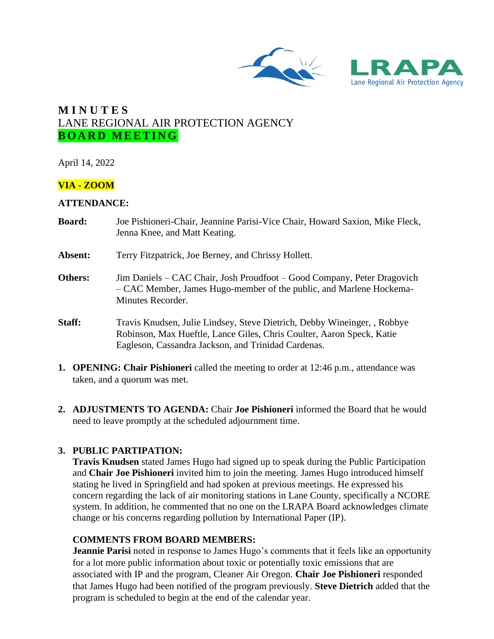



# **M I N U T E S** LANE REGIONAL AIR PROTECTION AGENCY **BOARD MEETING**

April 14, 2022

## **VIA - ZOOM**

#### **ATTENDANCE:**

| <b>Board:</b> | Joe Pishioneri-Chair, Jeannine Parisi-Vice Chair, Howard Saxion, Mike Fleck,<br>Jenna Knee, and Matt Keating.                                                                                            |
|---------------|----------------------------------------------------------------------------------------------------------------------------------------------------------------------------------------------------------|
| Absent:       | Terry Fitzpatrick, Joe Berney, and Chrissy Hollett.                                                                                                                                                      |
| Others:       | Jim Daniels – CAC Chair, Josh Proudfoot – Good Company, Peter Dragovich<br>- CAC Member, James Hugo-member of the public, and Marlene Hockema-<br>Minutes Recorder.                                      |
| Staff:        | Travis Knudsen, Julie Lindsey, Steve Dietrich, Debby Wineinger, , Robbye<br>Robinson, Max Hueftle, Lance Giles, Chris Coulter, Aaron Speck, Katie<br>Eagleson, Cassandra Jackson, and Trinidad Cardenas. |

- **1. OPENING: Chair Pishioneri** called the meeting to order at 12:46 p.m., attendance was taken, and a quorum was met.
- **2. ADJUSTMENTS TO AGENDA:** Chair **Joe Pishioneri** informed the Board that he would need to leave promptly at the scheduled adjournment time.

## **3. PUBLIC PARTIPATION:**

**Travis Knudsen** stated James Hugo had signed up to speak during the Public Participation and **Chair Joe Pishioneri** invited him to join the meeting. James Hugo introduced himself stating he lived in Springfield and had spoken at previous meetings. He expressed his concern regarding the lack of air monitoring stations in Lane County, specifically a NCORE system. In addition, he commented that no one on the LRAPA Board acknowledges climate change or his concerns regarding pollution by International Paper (IP).

# **COMMENTS FROM BOARD MEMBERS:**

**Jeannie Parisi** noted in response to James Hugo's comments that it feels like an opportunity for a lot more public information about toxic or potentially toxic emissions that are associated with IP and the program, Cleaner Air Oregon. **Chair Joe Pishioneri** responded that James Hugo had been notified of the program previously. **Steve Dietrich** added that the program is scheduled to begin at the end of the calendar year.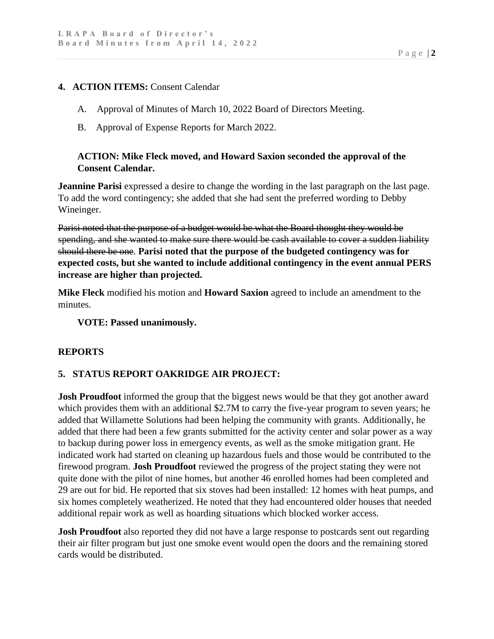#### **4. ACTION ITEMS:** Consent Calendar

- A. Approval of Minutes of March 10, 2022 Board of Directors Meeting.
- B. Approval of Expense Reports for March 2022.

## **ACTION: Mike Fleck moved, and Howard Saxion seconded the approval of the Consent Calendar.**

**Jeannine Parisi** expressed a desire to change the wording in the last paragraph on the last page. To add the word contingency; she added that she had sent the preferred wording to Debby Wineinger.

Parisi noted that the purpose of a budget would be what the Board thought they would be spending, and she wanted to make sure there would be cash available to cover a sudden liability should there be one. **Parisi noted that the purpose of the budgeted contingency was for expected costs, but she wanted to include additional contingency in the event annual PERS increase are higher than projected.**

**Mike Fleck** modified his motion and **Howard Saxion** agreed to include an amendment to the minutes.

#### **VOTE: Passed unanimously.**

## **REPORTS**

## **5. STATUS REPORT OAKRIDGE AIR PROJECT:**

**Josh Proudfoot** informed the group that the biggest news would be that they got another award which provides them with an additional \$2.7M to carry the five-year program to seven years; he added that Willamette Solutions had been helping the community with grants. Additionally, he added that there had been a few grants submitted for the activity center and solar power as a way to backup during power loss in emergency events, as well as the smoke mitigation grant. He indicated work had started on cleaning up hazardous fuels and those would be contributed to the firewood program. **Josh Proudfoot** reviewed the progress of the project stating they were not quite done with the pilot of nine homes, but another 46 enrolled homes had been completed and 29 are out for bid. He reported that six stoves had been installed: 12 homes with heat pumps, and six homes completely weatherized. He noted that they had encountered older houses that needed additional repair work as well as hoarding situations which blocked worker access.

**Josh Proudfoot** also reported they did not have a large response to postcards sent out regarding their air filter program but just one smoke event would open the doors and the remaining stored cards would be distributed.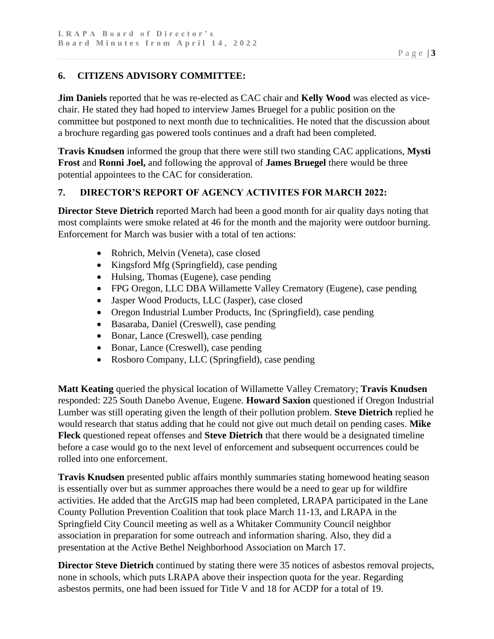# **6. CITIZENS ADVISORY COMMITTEE:**

**Jim Daniels** reported that he was re-elected as CAC chair and **Kelly Wood** was elected as vicechair. He stated they had hoped to interview James Bruegel for a public position on the committee but postponed to next month due to technicalities. He noted that the discussion about a brochure regarding gas powered tools continues and a draft had been completed.

**Travis Knudsen** informed the group that there were still two standing CAC applications, **Mysti Frost** and **Ronni Joel,** and following the approval of **James Bruegel** there would be three potential appointees to the CAC for consideration.

# **7. DIRECTOR'S REPORT OF AGENCY ACTIVITES FOR MARCH 2022:**

**Director Steve Dietrich** reported March had been a good month for air quality days noting that most complaints were smoke related at 46 for the month and the majority were outdoor burning. Enforcement for March was busier with a total of ten actions:

- Rohrich, Melvin (Veneta), case closed
- Kingsford Mfg (Springfield), case pending
- Hulsing, Thomas (Eugene), case pending
- FPG Oregon, LLC DBA Willamette Valley Crematory (Eugene), case pending
- Jasper Wood Products, LLC (Jasper), case closed
- Oregon Industrial Lumber Products, Inc (Springfield), case pending
- Basaraba, Daniel (Creswell), case pending
- Bonar, Lance (Creswell), case pending
- Bonar, Lance (Creswell), case pending
- Rosboro Company, LLC (Springfield), case pending

**Matt Keating** queried the physical location of Willamette Valley Crematory; **Travis Knudsen** responded: 225 South Danebo Avenue, Eugene. **Howard Saxion** questioned if Oregon Industrial Lumber was still operating given the length of their pollution problem. **Steve Dietrich** replied he would research that status adding that he could not give out much detail on pending cases. **Mike Fleck** questioned repeat offenses and **Steve Dietrich** that there would be a designated timeline before a case would go to the next level of enforcement and subsequent occurrences could be rolled into one enforcement.

**Travis Knudsen** presented public affairs monthly summaries stating homewood heating season is essentially over but as summer approaches there would be a need to gear up for wildfire activities. He added that the ArcGIS map had been completed, LRAPA participated in the Lane County Pollution Prevention Coalition that took place March 11-13, and LRAPA in the Springfield City Council meeting as well as a Whitaker Community Council neighbor association in preparation for some outreach and information sharing. Also, they did a presentation at the Active Bethel Neighborhood Association on March 17.

**Director Steve Dietrich** continued by stating there were 35 notices of asbestos removal projects, none in schools, which puts LRAPA above their inspection quota for the year. Regarding asbestos permits, one had been issued for Title V and 18 for ACDP for a total of 19.